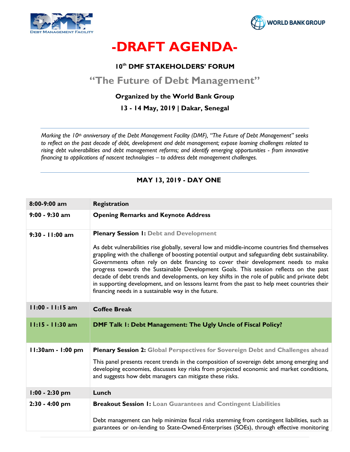



# -DRAFT AGENDA-

#### 10<sup>th</sup> DMF STAKEHOLDERS' FORUM

## "The Future of Debt Management"

#### Organized by the World Bank Group

#### 13 - 14 May, 2019 | Dakar, Senegal

Marking the 10<sup>th</sup> anniversary of the Debt Management Facility (DMF), "The Future of Debt Management" seeks to reflect on the past decade of debt, development and debt management; expose looming challenges related to rising debt vulnerabilities and debt management reforms; and identify emerging opportunities - from innovative financing to applications of nascent technologies – to address debt management challenges.

| 8:00-9:00 am       | <b>Registration</b>                                                                                                                                                                                                                                                                                                                                                                                                                                                                                                                                                                                                                                                                     |
|--------------------|-----------------------------------------------------------------------------------------------------------------------------------------------------------------------------------------------------------------------------------------------------------------------------------------------------------------------------------------------------------------------------------------------------------------------------------------------------------------------------------------------------------------------------------------------------------------------------------------------------------------------------------------------------------------------------------------|
| $9:00 - 9:30$ am   | <b>Opening Remarks and Keynote Address</b>                                                                                                                                                                                                                                                                                                                                                                                                                                                                                                                                                                                                                                              |
| 9:30 - 11:00 am    | <b>Plenary Session I: Debt and Development</b><br>As debt vulnerabilities rise globally, several low and middle-income countries find themselves<br>grappling with the challenge of boosting potential output and safeguarding debt sustainability.<br>Governments often rely on debt financing to cover their development needs to make<br>progress towards the Sustainable Development Goals. This session reflects on the past<br>decade of debt trends and developments, on key shifts in the role of public and private debt<br>in supporting development, and on lessons learnt from the past to help meet countries their<br>financing needs in a sustainable way in the future. |
| $11:00 - 11:15$ am | <b>Coffee Break</b>                                                                                                                                                                                                                                                                                                                                                                                                                                                                                                                                                                                                                                                                     |
| 11:15 - 11:30 am   | DMF Talk 1: Debt Management: The Ugly Uncle of Fiscal Policy?                                                                                                                                                                                                                                                                                                                                                                                                                                                                                                                                                                                                                           |
| 11:30am - 1:00 pm  | <b>Plenary Session 2: Global Perspectives for Sovereign Debt and Challenges ahead</b><br>This panel presents recent trends in the composition of sovereign debt among emerging and<br>developing economies, discusses key risks from projected economic and market conditions,<br>and suggests how debt managers can mitigate these risks.                                                                                                                                                                                                                                                                                                                                              |
| $1:00 - 2:30$ pm   | Lunch                                                                                                                                                                                                                                                                                                                                                                                                                                                                                                                                                                                                                                                                                   |
| 2:30 - 4:00 pm     | <b>Breakout Session I: Loan Guarantees and Contingent Liabilities</b><br>Debt management can help minimize fiscal risks stemming from contingent liabilities, such as<br>guarantees or on-lending to State-Owned-Enterprises (SOEs), through effective monitoring                                                                                                                                                                                                                                                                                                                                                                                                                       |

#### MAY 13, 2019 - DAY ONE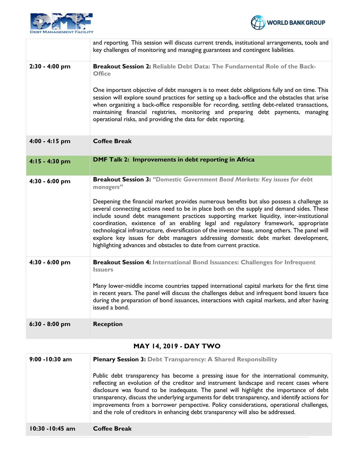



|                  | and reporting. This session will discuss current trends, institutional arrangements, tools and<br>key challenges of monitoring and managing guarantees and contingent liabilities.                                                                                                                                                                                                                                                                                                                                                                                                                                                                                                                                                 |
|------------------|------------------------------------------------------------------------------------------------------------------------------------------------------------------------------------------------------------------------------------------------------------------------------------------------------------------------------------------------------------------------------------------------------------------------------------------------------------------------------------------------------------------------------------------------------------------------------------------------------------------------------------------------------------------------------------------------------------------------------------|
| 2:30 - 4:00 pm   | <b>Breakout Session 2:</b> Reliable Debt Data: The Fundamental Role of the Back-<br><b>Office</b><br>One important objective of debt managers is to meet debt obligations fully and on time. This<br>session will explore sound practices for setting up a back-office and the obstacles that arise<br>when organizing a back-office responsible for recording, settling debt-related transactions,<br>maintaining financial registries, monitoring and preparing debt payments, managing<br>operational risks, and providing the data for debt reporting.                                                                                                                                                                         |
| 4:00 - 4:15 pm   | <b>Coffee Break</b>                                                                                                                                                                                                                                                                                                                                                                                                                                                                                                                                                                                                                                                                                                                |
| 4:15 - 4:30 pm   | <b>DMF Talk 2: Improvements in debt reporting in Africa</b>                                                                                                                                                                                                                                                                                                                                                                                                                                                                                                                                                                                                                                                                        |
| 4:30 - 6:00 pm   | Breakout Session 3: "Domestic Government Bond Markets: Key issues for debt<br>managers"<br>Deepening the financial market provides numerous benefits but also possess a challenge as<br>several connecting actions need to be in place both on the supply and demand sides. These<br>include sound debt management practices supporting market liquidity, inter-institutional<br>coordination, existence of an enabling legal and regulatory framework, appropriate<br>technological infrastructure, diversification of the investor base, among others. The panel will<br>explore key issues for debt managers addressing domestic debt market development,<br>highlighting advances and obstacles to date from current practice. |
| 4:30 - 6:00 pm   | <b>Breakout Session 4: International Bond Issuances: Challenges for Infrequent</b><br><b>Issuers</b><br>Many lower-middle income countries tapped international capital markets for the first time<br>in recent years. The panel will discuss the challenges debut and infrequent bond issuers face<br>during the preparation of bond issuances, interactions with capital markets, and after having<br>issued a bond.                                                                                                                                                                                                                                                                                                             |
| $6:30 - 8:00$ pm | <b>Reception</b>                                                                                                                                                                                                                                                                                                                                                                                                                                                                                                                                                                                                                                                                                                                   |

### MAY 14, 2019 - DAY TWO

| $9:00 - 10:30$ am  | <b>Plenary Session 3: Debt Transparency: A Shared Responsibility</b><br>Public debt transparency has become a pressing issue for the international community,<br>reflecting an evolution of the creditor and instrument landscape and recent cases where<br>disclosure was found to be inadequate. The panel will highlight the importance of debt<br>transparency, discuss the underlying arguments for debt transparency, and identify actions for<br>improvements from a borrower perspective. Policy considerations, operational challenges,<br>and the role of creditors in enhancing debt transparency will also be addressed. |
|--------------------|--------------------------------------------------------------------------------------------------------------------------------------------------------------------------------------------------------------------------------------------------------------------------------------------------------------------------------------------------------------------------------------------------------------------------------------------------------------------------------------------------------------------------------------------------------------------------------------------------------------------------------------|
| $10:30 - 10:45$ am | <b>Coffee Break</b>                                                                                                                                                                                                                                                                                                                                                                                                                                                                                                                                                                                                                  |